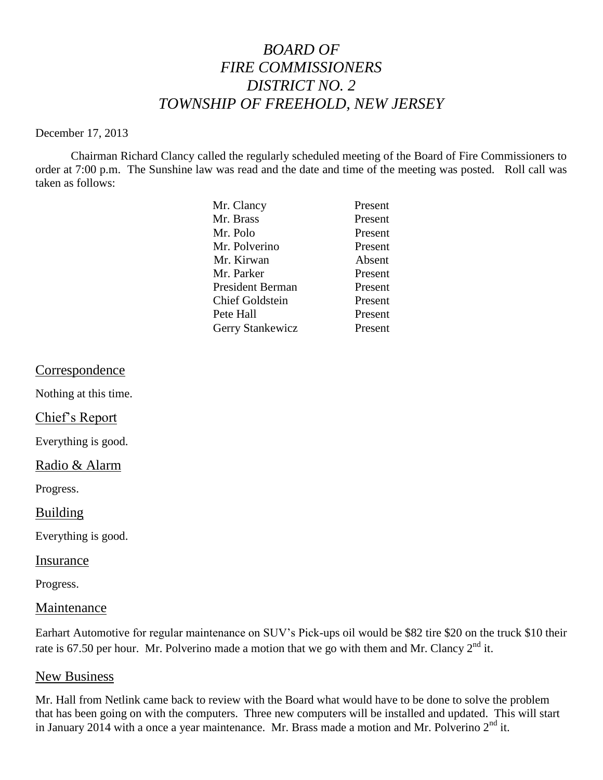# *BOARD OF FIRE COMMISSIONERS DISTRICT NO. 2 TOWNSHIP OF FREEHOLD, NEW JERSEY*

#### December 17, 2013

Chairman Richard Clancy called the regularly scheduled meeting of the Board of Fire Commissioners to order at 7:00 p.m. The Sunshine law was read and the date and time of the meeting was posted. Roll call was taken as follows:

| Mr. Clancy              | Present |
|-------------------------|---------|
| Mr. Brass               | Present |
| Mr. Polo                | Present |
| Mr. Polverino           | Present |
| Mr. Kirwan              | Absent  |
| Mr. Parker              | Present |
| <b>President Berman</b> | Present |
| <b>Chief Goldstein</b>  | Present |
| Pete Hall               | Present |
| Gerry Stankewicz        | Present |

### Correspondence

Nothing at this time.

### Chief's Report

Everything is good.

### Radio & Alarm

Progress.

#### Building

Everything is good.

#### Insurance

Progress.

#### Maintenance

Earhart Automotive for regular maintenance on SUV's Pick-ups oil would be \$82 tire \$20 on the truck \$10 their rate is 67.50 per hour. Mr. Polverino made a motion that we go with them and Mr. Clancy  $2<sup>nd</sup>$  it.

#### New Business

Mr. Hall from Netlink came back to review with the Board what would have to be done to solve the problem that has been going on with the computers. Three new computers will be installed and updated. This will start in January 2014 with a once a year maintenance. Mr. Brass made a motion and Mr. Polverino  $2<sup>nd</sup>$  it.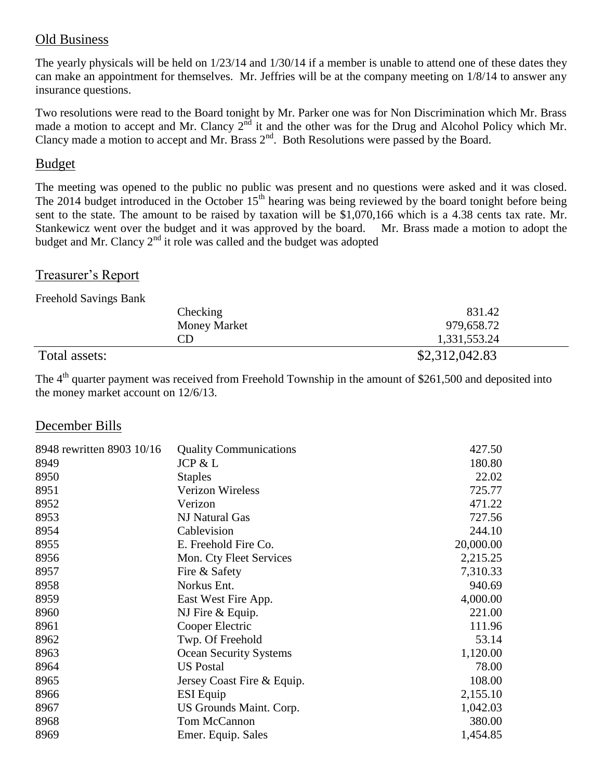### Old Business

The yearly physicals will be held on 1/23/14 and 1/30/14 if a member is unable to attend one of these dates they can make an appointment for themselves. Mr. Jeffries will be at the company meeting on 1/8/14 to answer any insurance questions.

Two resolutions were read to the Board tonight by Mr. Parker one was for Non Discrimination which Mr. Brass made a motion to accept and Mr. Clancy 2<sup>nd</sup> it and the other was for the Drug and Alcohol Policy which Mr. Clancy made a motion to accept and Mr. Brass  $2<sup>nd</sup>$ . Both Resolutions were passed by the Board.

### Budget

The meeting was opened to the public no public was present and no questions were asked and it was closed. The 2014 budget introduced in the October  $15<sup>th</sup>$  hearing was being reviewed by the board tonight before being sent to the state. The amount to be raised by taxation will be \$1,070,166 which is a 4.38 cents tax rate. Mr. Stankewicz went over the budget and it was approved by the board. Mr. Brass made a motion to adopt the budget and Mr. Clancy  $2<sup>nd</sup>$  it role was called and the budget was adopted

### Treasurer's Report

Freehold Savings Bank

| Checking            | 831.42         |
|---------------------|----------------|
| <b>Money Market</b> | 979,658.72     |
| CD                  | 1,331,553.24   |
| Total assets:       | \$2,312,042.83 |

The 4<sup>th</sup> quarter payment was received from Freehold Township in the amount of \$261,500 and deposited into the money market account on 12/6/13.

## December Bills

| 8948 rewritten 8903 10/16 | <b>Quality Communications</b> | 427.50    |
|---------------------------|-------------------------------|-----------|
| 8949                      | JCP & L                       | 180.80    |
| 8950                      | <b>Staples</b>                | 22.02     |
| 8951                      | <b>Verizon Wireless</b>       | 725.77    |
| 8952                      | Verizon                       | 471.22    |
| 8953                      | NJ Natural Gas                | 727.56    |
| 8954                      | Cablevision                   | 244.10    |
| 8955                      | E. Freehold Fire Co.          | 20,000.00 |
| 8956                      | Mon. Cty Fleet Services       | 2,215.25  |
| 8957                      | Fire & Safety                 | 7,310.33  |
| 8958                      | Norkus Ent.                   | 940.69    |
| 8959                      | East West Fire App.           | 4,000.00  |
| 8960                      | NJ Fire & Equip.              | 221.00    |
| 8961                      | Cooper Electric               | 111.96    |
| 8962                      | Twp. Of Freehold              | 53.14     |
| 8963                      | <b>Ocean Security Systems</b> | 1,120.00  |
| 8964                      | <b>US Postal</b>              | 78.00     |
| 8965                      | Jersey Coast Fire & Equip.    | 108.00    |
| 8966                      | <b>ESI</b> Equip              | 2,155.10  |
| 8967                      | US Grounds Maint. Corp.       | 1,042.03  |
| 8968                      | Tom McCannon                  | 380.00    |
| 8969                      | Emer. Equip. Sales            | 1,454.85  |